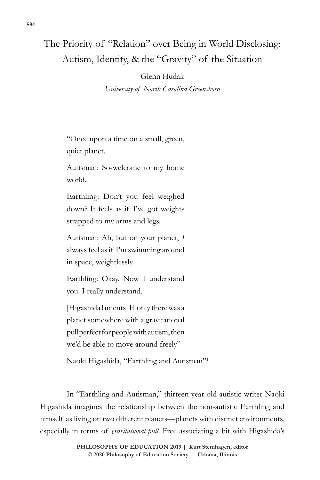# The Priority of "Relation" over Being in World Disclosing: Autism, Identity, & the "Gravity" of the Situation

## Glenn Hudak

*University of North Carolina Greensboro*

"Once upon a time on a small, green, quiet planet.

Autisman: So-welcome to my home world.

Earthling: Don't you feel weighed down? It feels as if I've got weights strapped to my arms and legs.

Autisman: Ah, but on your planet, *I* always feel as if I'm swimming around in space, weightlessly.

Earthling: Okay. Now I understand you. I really understand.

[Higashida laments] If only there was a planet somewhere with a gravitational pull perfect for people with autism, then we'd be able to move around freely"

Naoki Higashida, "Earthling and Autisman"1

In "Earthling and Autisman," thirteen year old autistic writer Naoki Higashida imagines the relationship between the non-autistic Earthling and himself as living on two different planets—planets with distinct environments, especially in terms of *gravitational pull*. Free associating a bit with Higashida's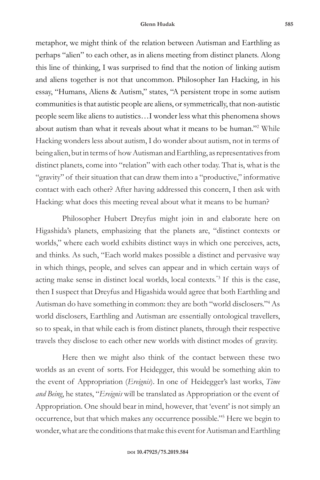metaphor, we might think of the relation between Autisman and Earthling as perhaps "alien" to each other, as in aliens meeting from distinct planets. Along this line of thinking, I was surprised to find that the notion of linking autism and aliens together is not that uncommon. Philosopher Ian Hacking, in his essay, "Humans, Aliens & Autism," states, "A persistent trope in some autism communities is that autistic people are aliens, or symmetrically, that non-autistic people seem like aliens to autistics…I wonder less what this phenomena shows about autism than what it reveals about what it means to be human."2 While Hacking wonders less about autism, I do wonder about autism, not in terms of being alien, but in terms of how Autisman and Earthling, as representatives from distinct planets, come into "relation" with each other today. That is, what is the "gravity" of their situation that can draw them into a "productive," informative contact with each other? After having addressed this concern, I then ask with Hacking: what does this meeting reveal about what it means to be human?

Philosopher Hubert Dreyfus might join in and elaborate here on Higashida's planets, emphasizing that the planets are, "distinct contexts or worlds," where each world exhibits distinct ways in which one perceives, acts, and thinks. As such, "Each world makes possible a distinct and pervasive way in which things, people, and selves can appear and in which certain ways of acting make sense in distinct local worlds, local contexts."3 If this is the case, then I suspect that Dreyfus and Higashida would agree that both Earthling and Autisman do have something in common: they are both "world disclosers."4 As world disclosers, Earthling and Autisman are essentially ontological travellers, so to speak, in that while each is from distinct planets, through their respective travels they disclose to each other new worlds with distinct modes of gravity.

Here then we might also think of the contact between these two worlds as an event of sorts. For Heidegger, this would be something akin to the event of Appropriation (*Ereignis*). In one of Heidegger's last works, *Time and Being*, he states, "*Ereignis* will be translated as Appropriation or the event of Appropriation. One should bear in mind, however, that 'event' is not simply an occurrence, but that which makes any occurrence possible."5 Here we begin to wonder, what are the conditions that make this event for Autisman and Earthling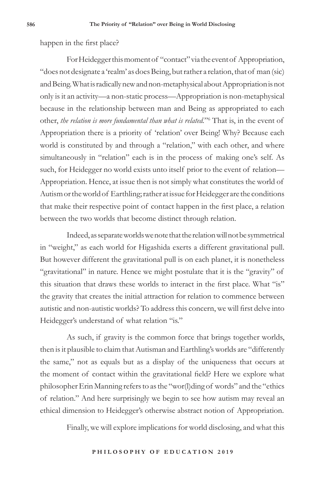happen in the first place?

For Heidegger this moment of "contact" via the event of Appropriation, "does not designate a 'realm' as does Being, but rather a relation, that of man (sic) and Being. What is radically new and non-metaphysical about Appropriation is not only is it an activity—a non-static process—Appropriation is non-metaphysical because in the relationship between man and Being as appropriated to each other, *the relation is more fundamental than what is related.*"6 That is, in the event of Appropriation there is a priority of 'relation' over Being! Why? Because each world is constituted by and through a "relation," with each other, and where simultaneously in "relation" each is in the process of making one's self. As such, for Heidegger no world exists unto itself prior to the event of relation— Appropriation. Hence, at issue then is not simply what constitutes the world of Autism or the world of Earthling; rather at issue for Heidegger are the conditions that make their respective point of contact happen in the first place, a relation between the two worlds that become distinct through relation.

Indeed, as separate worlds we note that the relation will not be symmetrical in "weight," as each world for Higashida exerts a different gravitational pull. But however different the gravitational pull is on each planet, it is nonetheless "gravitational" in nature. Hence we might postulate that it is the "gravity" of this situation that draws these worlds to interact in the first place. What "is" the gravity that creates the initial attraction for relation to commence between autistic and non-autistic worlds? To address this concern, we will first delve into Heidegger's understand of what relation "is."

As such, if gravity is the common force that brings together worlds, then is it plausible to claim that Autisman and Earthling's worlds are "differently the same," not as equals but as a display of the uniqueness that occurs at the moment of contact within the gravitational field? Here we explore what philosopher Erin Manning refers to as the "wor(l)ding of words" and the "ethics of relation." And here surprisingly we begin to see how autism may reveal an ethical dimension to Heidegger's otherwise abstract notion of Appropriation.

Finally, we will explore implications for world disclosing, and what this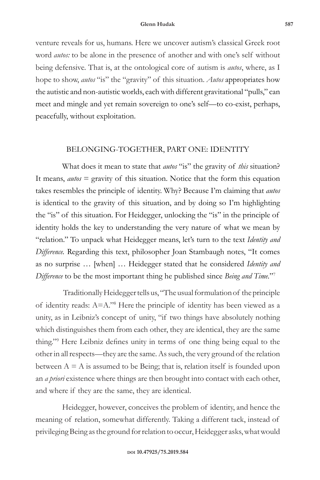venture reveals for us, humans. Here we uncover autism's classical Greek root word *autos:* to be alone in the presence of another and with one's self without being defensive. That is, at the ontological core of autism is *autos*, where, as I hope to show, *autos* "is" the "gravity" of this situation. *Autos* appropriates how the autistic and non-autistic worlds, each with different gravitational "pulls," can meet and mingle and yet remain sovereign to one's self—to co-exist, perhaps, peacefully, without exploitation.

## BELONGING-TOGETHER, PART ONE: IDENTITY

What does it mean to state that *autos* "is" the gravity of *this* situation? It means, *autos* = gravity of this situation. Notice that the form this equation takes resembles the principle of identity. Why? Because I'm claiming that *autos* is identical to the gravity of this situation, and by doing so I'm highlighting the "is" of this situation. For Heidegger, unlocking the "is" in the principle of identity holds the key to understanding the very nature of what we mean by "relation." To unpack what Heidegger means, let's turn to the text *Identity and Difference.* Regarding this text, philosopher Joan Stambaugh notes, "It comes as no surprise … [when] … Heidegger stated that he considered *Identity and Difference* to be the most important thing he published since *Being and Time.*"7

 Traditionally Heidegger tells us, "The usual formulation of the principle of identity reads: A=A."8 Here the principle of identity has been viewed as a unity, as in Leibniz's concept of unity, "if two things have absolutely nothing which distinguishes them from each other, they are identical, they are the same thing."9 Here Leibniz defines unity in terms of one thing being equal to the other in all respects—they are the same. As such, the very ground of the relation between  $A = A$  is assumed to be Being; that is, relation itself is founded upon an *a priori* existence where things are then brought into contact with each other, and where if they are the same, they are identical.

Heidegger, however, conceives the problem of identity, and hence the meaning of relation, somewhat differently. Taking a different tack, instead of privileging Being as the ground for relation to occur, Heidegger asks, what would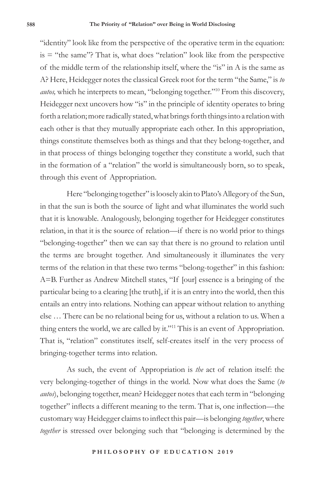"identity" look like from the perspective of the operative term in the equation:  $is = "the same"$ ? That is, what does "relation" look like from the perspective of the middle term of the relationship itself, where the "is" in A is the same as A? Here, Heidegger notes the classical Greek root for the term "the Same," is *to autos,* which he interprets to mean, "belonging together."10 From this discovery, Heidegger next uncovers how "is" in the principle of identity operates to bring forth a relation; more radically stated, what brings forth things into a relation with each other is that they mutually appropriate each other. In this appropriation, things constitute themselves both as things and that they belong-together, and in that process of things belonging together they constitute a world, such that in the formation of a "relation" the world is simultaneously born, so to speak, through this event of Appropriation.

Here "belonging together" is loosely akin to Plato's Allegory of the Sun, in that the sun is both the source of light and what illuminates the world such that it is knowable. Analogously, belonging together for Heidegger constitutes relation, in that it is the source of relation—if there is no world prior to things "belonging-together" then we can say that there is no ground to relation until the terms are brought together. And simultaneously it illuminates the very terms of the relation in that these two terms "belong-together" in this fashion: A=B. Further as Andrew Mitchell states, "If [our] essence is a bringing of the particular being to a clearing [the truth], if it is an entry into the world, then this entails an entry into relations. Nothing can appear without relation to anything else … There can be no relational being for us, without a relation to us. When a thing enters the world, we are called by it."<sup>11</sup> This is an event of Appropriation. That is, "relation" constitutes itself, self-creates itself in the very process of bringing-together terms into relation.

As such, the event of Appropriation is *the* act of relation itself: the very belonging-together of things in the world. Now what does the Same (*to autos*), belonging together, mean? Heidegger notes that each term in "belonging together" inflects a different meaning to the term. That is, one inflection—the customary way Heidegger claims to inflect this pair—is belonging *together*, where *together* is stressed over belonging such that "belonging is determined by the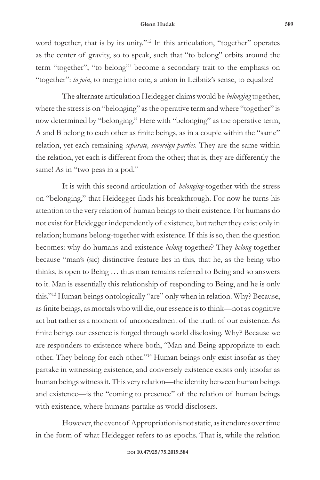#### **Glenn Hudak 589**

word together, that is by its unity."12 In this articulation, "together" operates as the center of gravity, so to speak, such that "to belong" orbits around the term "together"; "to belong"' become a secondary trait to the emphasis on "together": *to join*, to merge into one, a union in Leibniz's sense, to equalize!

The alternate articulation Heidegger claims would be *belonging* together, where the stress is on "belonging" as the operative term and where "together" is now determined by "belonging." Here with "belonging" as the operative term, A and B belong to each other as finite beings, as in a couple within the "same" relation, yet each remaining *separate, sovereign parties*. They are the same within the relation, yet each is different from the other; that is, they are differently the same! As in "two peas in a pod."

It is with this second articulation of *belonging*-together with the stress on "belonging," that Heidegger finds his breakthrough. For now he turns his attention to the very relation of human beings to their existence. For humans do not exist for Heidegger independently of existence, but rather they exist only in relation; humans belong-together with existence. If this is so, then the question becomes: why do humans and existence *belong*-together? They *belong*-together because "man's (sic) distinctive feature lies in this, that he, as the being who thinks, is open to Being … thus man remains referred to Being and so answers to it. Man is essentially this relationship of responding to Being, and he is only this."13 Human beings ontologically "are" only when in relation. Why? Because, as finite beings, as mortals who will die, our essence is to think—not as cognitive act but rather as a moment of unconcealment of the truth of our existence. As finite beings our essence is forged through world disclosing. Why? Because we are responders to existence where both, "Man and Being appropriate to each other. They belong for each other."14 Human beings only exist insofar as they partake in witnessing existence, and conversely existence exists only insofar as human beings witness it. This very relation—the identity between human beings and existence—is the "coming to presence" of the relation of human beings with existence, where humans partake as world disclosers.

However, the event of Appropriation is not static, as it endures over time in the form of what Heidegger refers to as epochs. That is, while the relation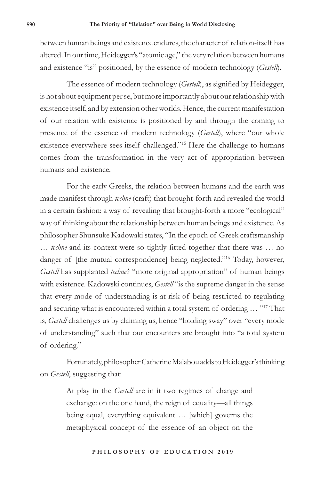between human beings and existence endures, the character of relation-itself has altered. In our time, Heidegger's "atomic age," the very relation between humans and existence "is" positioned, by the essence of modern technology (*Gestell*).

The essence of modern technology (*Gestell*), as signified by Heidegger, is not about equipment per se, but more importantly about our relationship with existence itself, and by extension other worlds. Hence, the current manifestation of our relation with existence is positioned by and through the coming to presence of the essence of modern technology (*Gestell*), where "our whole existence everywhere sees itself challenged."15 Here the challenge to humans comes from the transformation in the very act of appropriation between humans and existence.

For the early Greeks, the relation between humans and the earth was made manifest through *techne* (craft) that brought-forth and revealed the world in a certain fashion: a way of revealing that brought-forth a more "ecological" way of thinking about the relationship between human beings and existence. As philosopher Shunsuke Kadowaki states, "In the epoch of Greek craftsmanship … *techne* and its context were so tightly fitted together that there was … no danger of [the mutual correspondence] being neglected."<sup>16</sup> Today, however, *Gestell* has supplanted *techne's* "more original appropriation" of human beings with existence. Kadowski continues, *Gestell* "is the supreme danger in the sense that every mode of understanding is at risk of being restricted to regulating and securing what is encountered within a total system of ordering … "17 That is, *Gestell* challenges us by claiming us, hence "holding sway" over "every mode of understanding" such that our encounters are brought into "a total system of ordering."

Fortunately, philosopher Catherine Malabou adds to Heidegger's thinking on *Gestell*, suggesting that:

> At play in the *Gestell* are in it two regimes of change and exchange: on the one hand, the reign of equality—all things being equal, everything equivalent … [which] governs the metaphysical concept of the essence of an object on the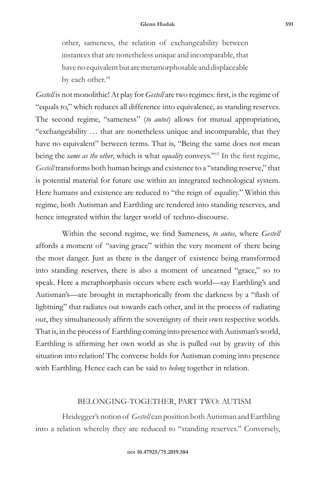other, sameness, the relation of exchangeability between instances that are nonetheless unique and incomparable, that have no equivalent but are metamorphosable and displaceable by each other.<sup>18</sup>

*Gestell* is not monolithic! At play for *Gestell* are two regimes: first, is the regime of "equals to," which reduces all difference into equivalence, as standing reserves. The second regime, "sameness" (*to autos*) allows for mutual appropriation, "exchangeability … that are nonetheless unique and incomparable, that they have no equivalent" between terms. That is, "Being the same does not mean being the *same as the other*, which is what *equality* conveys."19 In the first regime, *Gestell* transforms both human beings and existence to a "standing reserve," that is potential material for future use within an integrated technological system. Here humans and existence are reduced to "the reign of equality." Within this regime, both Autisman and Earthling are rendered into standing reserves, and hence integrated within the larger world of techno-discourse.

Within the second regime, we find Sameness, *to autos*, where *Gestell* affords a moment of "saving grace" within the very moment of there being the most danger. Just as there is the danger of existence being transformed into standing reserves, there is also a moment of unearned "grace," so to speak. Here a metaphorphasis occurs where each world—say Earthling's and Autisman's—are brought in metaphorically from the darkness by a "flash of lightning" that radiates out towards each other, and in the process of radiating out, they simultaneously affirm the sovereignty of their own respective worlds. That is, in the process of Earthling coming into presence with Autisman's world, Earthling is affirming her own world as she is pulled out by gravity of this situation into relation! The converse holds for Autisman coming into presence with Earthling. Hence each can be said to *belong* together in relation.

## BELONGING-TOGETHER, PART TWO: AUTISM

Heidegger's notion of *Gestell* can position both Autisman and Earthling into a relation whereby they are reduced to "standing reserves." Conversely,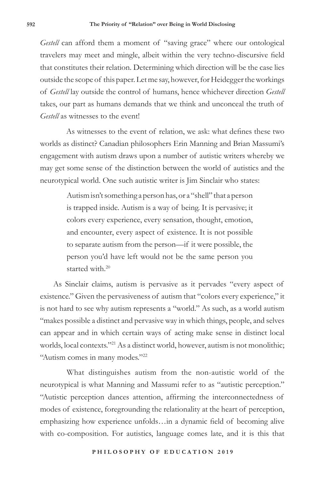*Gestell* can afford them a moment of "saving grace" where our ontological travelers may meet and mingle, albeit within the very techno-discursive field that constitutes their relation. Determining which direction will be the case lies outside the scope of this paper. Let me say, however, for Heidegger the workings of *Gestell* lay outside the control of humans, hence whichever direction *Gestell* takes, our part as humans demands that we think and unconceal the truth of *Gestell* as witnesses to the event!

As witnesses to the event of relation, we ask: what defines these two worlds as distinct? Canadian philosophers Erin Manning and Brian Massumi's engagement with autism draws upon a number of autistic writers whereby we may get some sense of the distinction between the world of autistics and the neurotypical world. One such autistic writer is Jim Sinclair who states:

> Autism isn't something a person has, or a "shell" that a person is trapped inside. Autism is a way of being. It is pervasive; it colors every experience, every sensation, thought, emotion, and encounter, every aspect of existence. It is not possible to separate autism from the person—if it were possible, the person you'd have left would not be the same person you started with  $20$

As Sinclair claims, autism is pervasive as it pervades "every aspect of existence." Given the pervasiveness of autism that "colors every experience," it is not hard to see why autism represents a "world." As such, as a world autism "makes possible a distinct and pervasive way in which things, people, and selves can appear and in which certain ways of acting make sense in distinct local worlds, local contexts."21 As a distinct world, however, autism is not monolithic; "Autism comes in many modes."<sup>22</sup>

What distinguishes autism from the non-autistic world of the neurotypical is what Manning and Massumi refer to as "autistic perception." "Autistic perception dances attention, affirming the interconnectedness of modes of existence, foregrounding the relationality at the heart of perception, emphasizing how experience unfolds…in a dynamic field of becoming alive with co-composition. For autistics, language comes late, and it is this that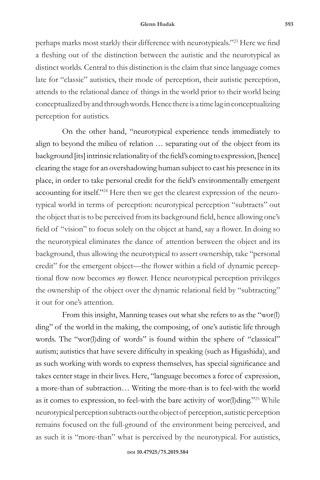#### **Glenn Hudak 593**

perhaps marks most starkly their difference with neurotypicals."23 Here we find a fleshing out of the distinction between the autistic and the neurotypical as distinct worlds. Central to this distinction is the claim that since language comes late for "classic" autistics, their mode of perception, their autistic perception, attends to the relational dance of things in the world prior to their world being conceptualized by and through words. Hence there is a time lag in conceptualizing perception for autistics.

On the other hand, "neurotypical experience tends immediately to align to beyond the milieu of relation … separating out of the object from its background [its] intrinsic relationality of the field's coming to expression, [hence] clearing the stage for an overshadowing human subject to cast his presence in its place, in order to take personal credit for the field's environmentally emergent accounting for itself."24 Here then we get the clearest expression of the neurotypical world in terms of perception: neurotypical perception "subtracts" out the object that is to be perceived from its background field, hence allowing one's field of "vision" to focus solely on the object at hand, say a flower. In doing so the neurotypical eliminates the dance of attention between the object and its background, thus allowing the neurotypical to assert ownership, take "personal credit" for the emergent object—the flower within a field of dynamic perceptional flow now becomes *my* flower. Hence neurotypical perception privileges the ownership of the object over the dynamic relational field by "subtracting" it out for one's attention.

From this insight, Manning teases out what she refers to as the "wor(l) ding" of the world in the making, the composing, of one's autistic life through words. The "wor(l)ding of words" is found within the sphere of "classical" autism; autistics that have severe difficulty in speaking (such as Higashida), and as such working with words to express themselves, has special significance and takes center stage in their lives. Here, "language becomes a force of expression, a more-than of subtraction… Writing the more-than is to feel-with the world as it comes to expression, to feel-with the bare activity of wor(l)ding."25 While neurotypical perception subtracts out the object of perception, autistic perception remains focused on the full-ground of the environment being perceived, and as such it is "more-than" what is perceived by the neurotypical. For autistics,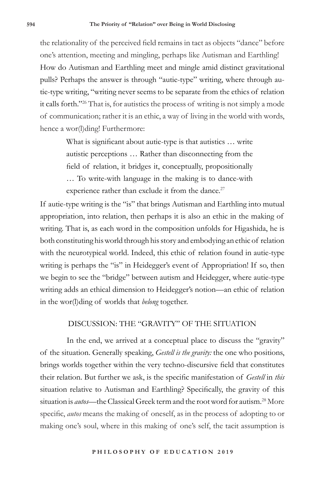the relationality of the perceived field remains in tact as objects "dance" before one's attention, meeting and mingling, perhaps like Autisman and Earthling! How do Autisman and Earthling meet and mingle amid distinct gravitational pulls? Perhaps the answer is through "autie-type" writing, where through autie-type writing, "writing never seems to be separate from the ethics of relation it calls forth."26 That is, for autistics the process of writing is not simply a mode of communication; rather it is an ethic, a way of living in the world with words, hence a wor(l)ding! Furthermore:

> What is significant about autie-type is that autistics … write autistic perceptions … Rather than disconnecting from the field of relation, it bridges it, conceptually, propositionally … To write-with language in the making is to dance-with experience rather than exclude it from the dance. $27$

If autie-type writing is the "is" that brings Autisman and Earthling into mutual appropriation, into relation, then perhaps it is also an ethic in the making of writing. That is, as each word in the composition unfolds for Higashida, he is both constituting his world through his story and embodying an ethic of relation with the neurotypical world. Indeed, this ethic of relation found in autie-type writing is perhaps the "is" in Heidegger's event of Appropriation! If so, then we begin to see the "bridge" between autism and Heidegger, where autie-type writing adds an ethical dimension to Heidegger's notion—an ethic of relation in the wor(l)ding of worlds that *belong* together.

## DISCUSSION: THE "GRAVITY" OF THE SITUATION

In the end, we arrived at a conceptual place to discuss the "gravity" of the situation. Generally speaking, *Gestell is the gravity:* the one who positions, brings worlds together within the very techno-discursive field that constitutes their relation. But further we ask, is the specific manifestation of *Gestell* in *this* situation relative to Autisman and Earthling? Specifically, the gravity of this situation is *autos*—the Classical Greek term and the root word for autism.28 More specific, *autos* means the making of oneself, as in the process of adopting to or making one's soul, where in this making of one's self, the tacit assumption is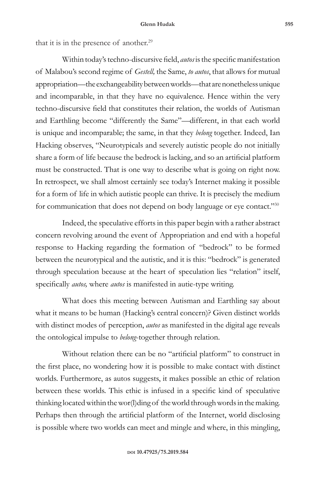that it is in the presence of another.<sup>29</sup>

Within today's techno-discursive field, *autos* is the specific manifestation of Malabou's second regime of *Gestell,* the Same, *to autos*, that allows for mutual appropriation—the exchangeability between worlds—that are nonetheless unique and incomparable, in that they have no equivalence. Hence within the very techno-discursive field that constitutes their relation, the worlds of Autisman and Earthling become "differently the Same"—different, in that each world is unique and incomparable; the same, in that they *belong* together. Indeed, Ian Hacking observes, "Neurotypicals and severely autistic people do not initially share a form of life because the bedrock is lacking, and so an artificial platform must be constructed. That is one way to describe what is going on right now. In retrospect, we shall almost certainly see today's Internet making it possible for a form of life in which autistic people can thrive. It is precisely the medium for communication that does not depend on body language or eye contact."30

Indeed, the speculative efforts in this paper begin with a rather abstract concern revolving around the event of Appropriation and end with a hopeful response to Hacking regarding the formation of "bedrock" to be formed between the neurotypical and the autistic, and it is this: "bedrock" is generated through speculation because at the heart of speculation lies "relation" itself, specifically *autos,* where *autos* is manifested in autie-type writing.

What does this meeting between Autisman and Earthling say about what it means to be human (Hacking's central concern)? Given distinct worlds with distinct modes of perception, *autos* as manifested in the digital age reveals the ontological impulse to *belong*-together through relation.

Without relation there can be no "artificial platform" to construct in the first place, no wondering how it is possible to make contact with distinct worlds. Furthermore, as autos suggests, it makes possible an ethic of relation between these worlds. This ethic is infused in a specific kind of speculative thinking located within the wor(l)ding of the world through words in the making. Perhaps then through the artificial platform of the Internet, world disclosing is possible where two worlds can meet and mingle and where, in this mingling,